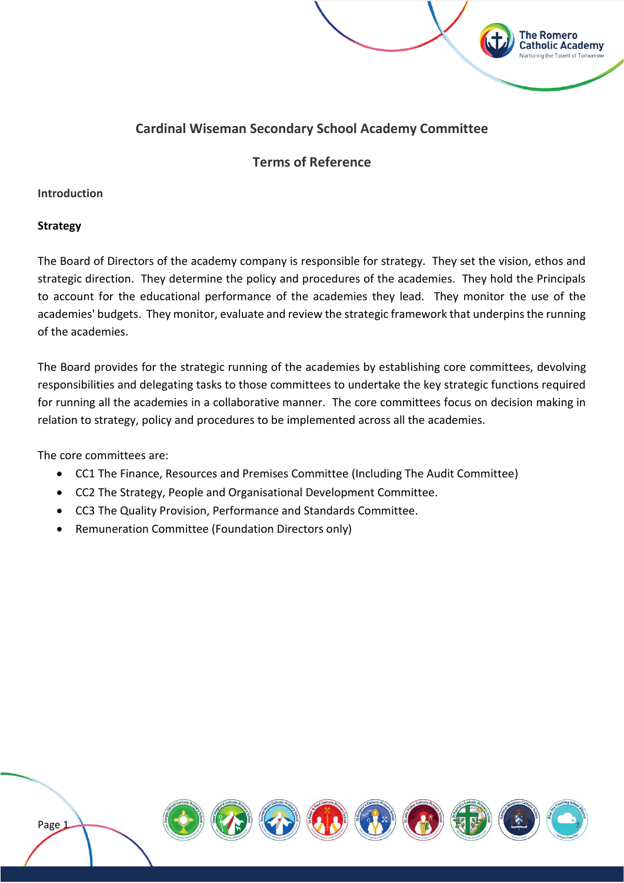# **Cardinal Wiseman Secondary School Academy Committee**

**The Romero Catholic Academy** 

# **Terms of Reference**

#### **Introduction**

#### **Strategy**

The Board of Directors of the academy company is responsible for strategy. They set the vision, ethos and strategic direction. They determine the policy and procedures of the academies. They hold the Principals to account for the educational performance of the academies they lead. They monitor the use of the academies' budgets. They monitor, evaluate and review the strategic framework that underpins the running of the academies.

The Board provides for the strategic running of the academies by establishing core committees, devolving responsibilities and delegating tasks to those committees to undertake the key strategic functions required for running all the academies in a collaborative manner. The core committees focus on decision making in relation to strategy, policy and procedures to be implemented across all the academies.

The core committees are:

- CC1 The Finance, Resources and Premises Committee (Including The Audit Committee)
- CC2 The Strategy, People and Organisational Development Committee.
- CC3 The Quality Provision, Performance and Standards Committee.
- Remuneration Committee (Foundation Directors only)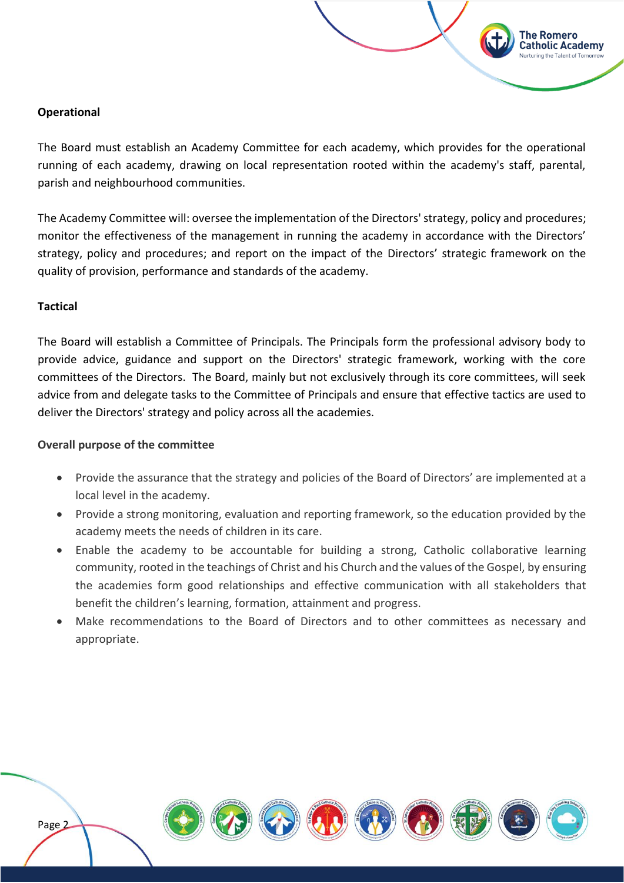#### **Operational**

The Board must establish an Academy Committee for each academy, which provides for the operational running of each academy, drawing on local representation rooted within the academy's staff, parental, parish and neighbourhood communities.

**The Romero Catholic Academy** 

The Academy Committee will: oversee the implementation of the Directors' strategy, policy and procedures; monitor the effectiveness of the management in running the academy in accordance with the Directors' strategy, policy and procedures; and report on the impact of the Directors' strategic framework on the quality of provision, performance and standards of the academy.

#### **Tactical**

The Board will establish a Committee of Principals. The Principals form the professional advisory body to provide advice, guidance and support on the Directors' strategic framework, working with the core committees of the Directors. The Board, mainly but not exclusively through its core committees, will seek advice from and delegate tasks to the Committee of Principals and ensure that effective tactics are used to deliver the Directors' strategy and policy across all the academies.

#### **Overall purpose of the committee**

- Provide the assurance that the strategy and policies of the Board of Directors' are implemented at a local level in the academy.
- Provide a strong monitoring, evaluation and reporting framework, so the education provided by the academy meets the needs of children in its care.
- Enable the academy to be accountable for building a strong, Catholic collaborative learning community, rooted in the teachings of Christ and his Church and the values of the Gospel, by ensuring the academies form good relationships and effective communication with all stakeholders that benefit the children's learning, formation, attainment and progress.
- Make recommendations to the Board of Directors and to other committees as necessary and appropriate.

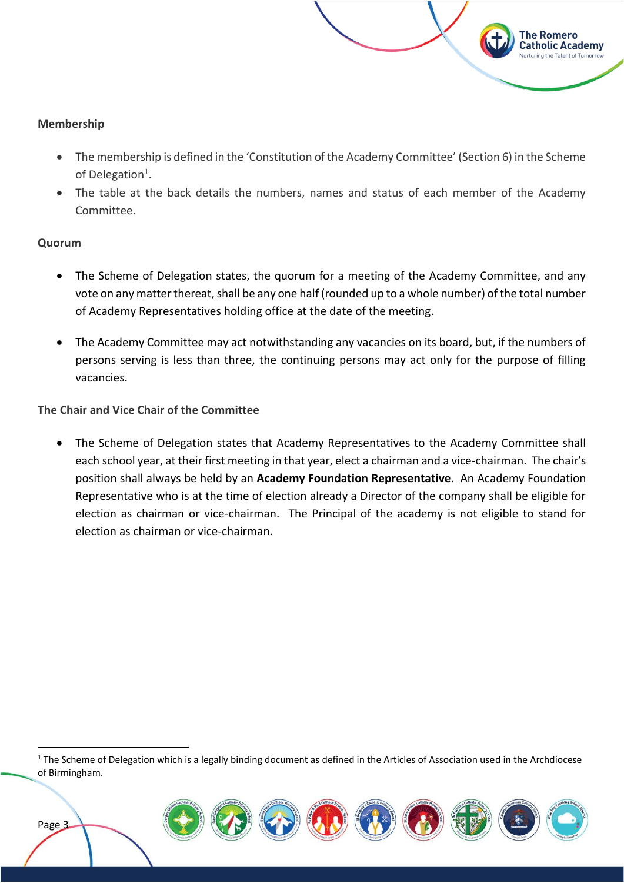

#### **Membership**

- The membership is defined in the 'Constitution of the Academy Committee' (Section 6) in the Scheme of Delegation<sup>1</sup>.
- The table at the back details the numbers, names and status of each member of the Academy Committee.

#### **Quorum**

Page<sub>3</sub>

- The Scheme of Delegation states, the quorum for a meeting of the Academy Committee, and any vote on any matter thereat, shall be any one half (rounded up to a whole number) of the total number of Academy Representatives holding office at the date of the meeting.
- The Academy Committee may act notwithstanding any vacancies on its board, but, if the numbers of persons serving is less than three, the continuing persons may act only for the purpose of filling vacancies.

#### **The Chair and Vice Chair of the Committee**

• The Scheme of Delegation states that Academy Representatives to the Academy Committee shall each school year, at their first meeting in that year, elect a chairman and a vice-chairman. The chair's position shall always be held by an **Academy Foundation Representative**. An Academy Foundation Representative who is at the time of election already a Director of the company shall be eligible for election as chairman or vice-chairman. The Principal of the academy is not eligible to stand for election as chairman or vice-chairman.

 $1$  The Scheme of Delegation which is a legally binding document as defined in the Articles of Association used in the Archdiocese of Birmingham.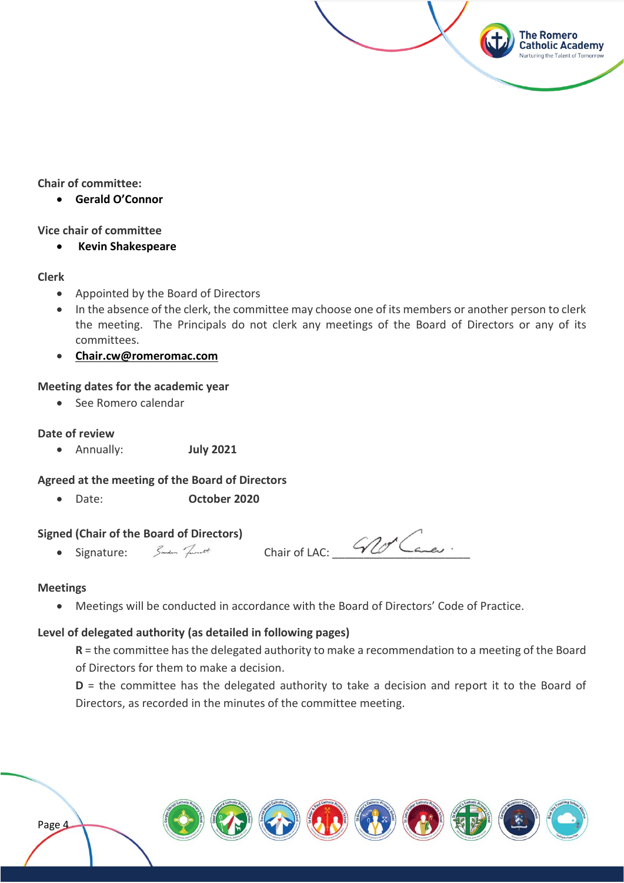#### **Chair of committee:**

• **Gerald O'Connor**

#### **Vice chair of committee**

• **Kevin Shakespeare**

#### **Clerk**

- Appointed by the Board of Directors
- In the absence of the clerk, the committee may choose one of its members or another person to clerk the meeting. The Principals do not clerk any meetings of the Board of Directors or any of its committees.
- **[Chair.cw@romeromac.com](mailto:Chair.cw@romeromac.com)**

#### **Meeting dates for the academic year**

• See Romero calendar

#### **Date of review**

• Annually: **July 2021**

#### **Agreed at the meeting of the Board of Directors**

• Date: **October 2020**

# **Signed (Chair of the Board of Directors)**<br>• Signature: *المسلم* السلم

 $\mathcal{C}$  Chair of LAC:  $\mathcal{C}$ 

**The Romero Catholic Academy** 

#### **Meetings**

Page 4

• Meetings will be conducted in accordance with the Board of Directors' Code of Practice.

#### **Level of delegated authority (as detailed in following pages)**

**R** = the committee has the delegated authority to make a recommendation to a meeting of the Board of Directors for them to make a decision.

**D** = the committee has the delegated authority to take a decision and report it to the Board of Directors, as recorded in the minutes of the committee meeting.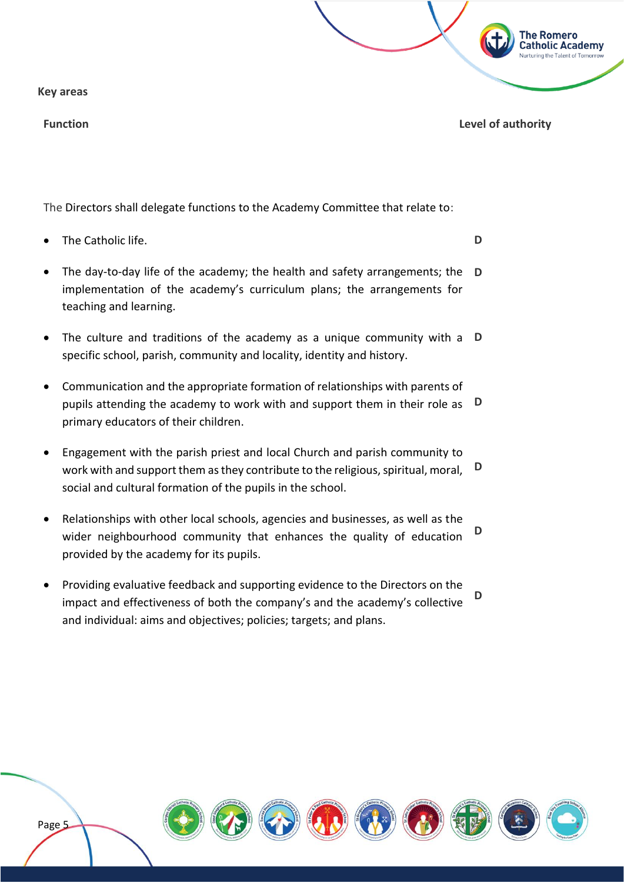**Key areas**

Page<sub>5</sub>

The Directors shall delegate functions to the Academy Committee that relate to:

- The Catholic life.
- The day-to-day life of the academy; the health and safety arrangements; the **D** implementation of the academy's curriculum plans; the arrangements for teaching and learning.
- The culture and traditions of the academy as a unique community with a **D** specific school, parish, community and locality, identity and history.
- Communication and the appropriate formation of relationships with parents of pupils attending the academy to work with and support them in their role as primary educators of their children. **D**
- Engagement with the parish priest and local Church and parish community to work with and support them as they contribute to the religious, spiritual, moral, social and cultural formation of the pupils in the school. **D**
- Relationships with other local schools, agencies and businesses, as well as the wider neighbourhood community that enhances the quality of education provided by the academy for its pupils. **D**
- Providing evaluative feedback and supporting evidence to the Directors on the impact and effectiveness of both the company's and the academy's collective and individual: aims and objectives; policies; targets; and plans. **D**





**D**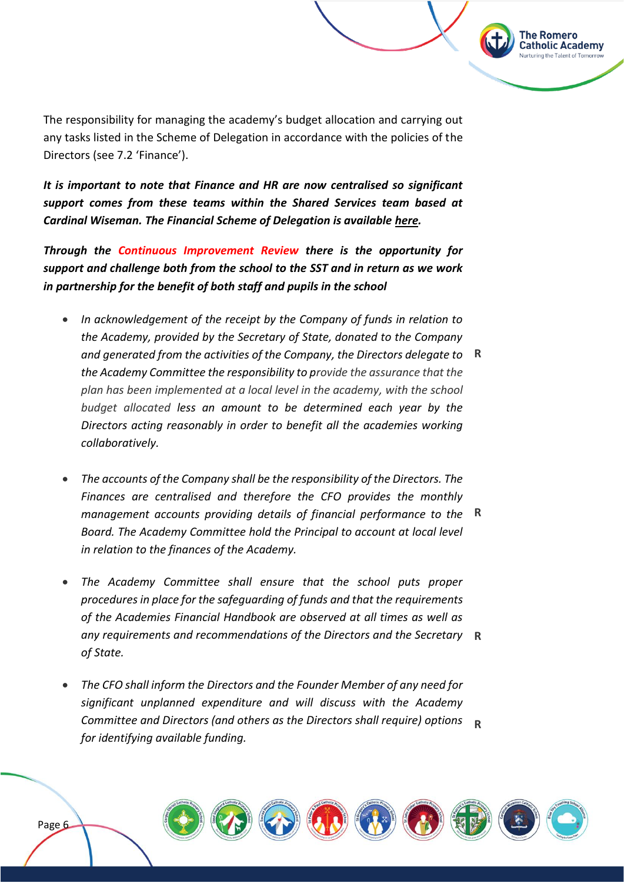The responsibility for managing the academy's budget allocation and carrying out any tasks listed in the Scheme of Delegation in accordance with the policies of the Directors (see 7.2 'Finance').

The Romero **Catholic Academy** 

*It is important to note that Finance and HR are now centralised so significant support comes from these teams within the Shared Services team based at Cardinal Wiseman. The Financial Scheme of Delegation is availabl[e here.](https://romeromac.com/policies-procedures/)*

*Through the Continuous Improvement Review there is the opportunity for support and challenge both from the school to the SST and in return as we work in partnership for the benefit of both staff and pupils in the school*

- *In acknowledgement of the receipt by the Company of funds in relation to the Academy, provided by the Secretary of State, donated to the Company and generated from the activities of the Company, the Directors delegate to*  **R** *the Academy Committee the responsibility to provide the assurance that the plan has been implemented at a local level in the academy, with the school budget allocated less an amount to be determined each year by the Directors acting reasonably in order to benefit all the academies working collaboratively.*
- *The accounts of the Company shall be the responsibility of the Directors. The Finances are centralised and therefore the CFO provides the monthly management accounts providing details of financial performance to the*  **R** *Board. The Academy Committee hold the Principal to account at local level in relation to the finances of the Academy.*
- *The Academy Committee shall ensure that the school puts proper procedures in place for the safeguarding of funds and that the requirements of the Academies Financial Handbook are observed at all times as well as any requirements and recommendations of the Directors and the Secretary*  **R** *of State.*
- *The CFO shall inform the Directors and the Founder Member of any need for significant unplanned expenditure and will discuss with the Academy Committee and Directors (and others as the Directors shall require) options*  **R***for identifying available funding.*

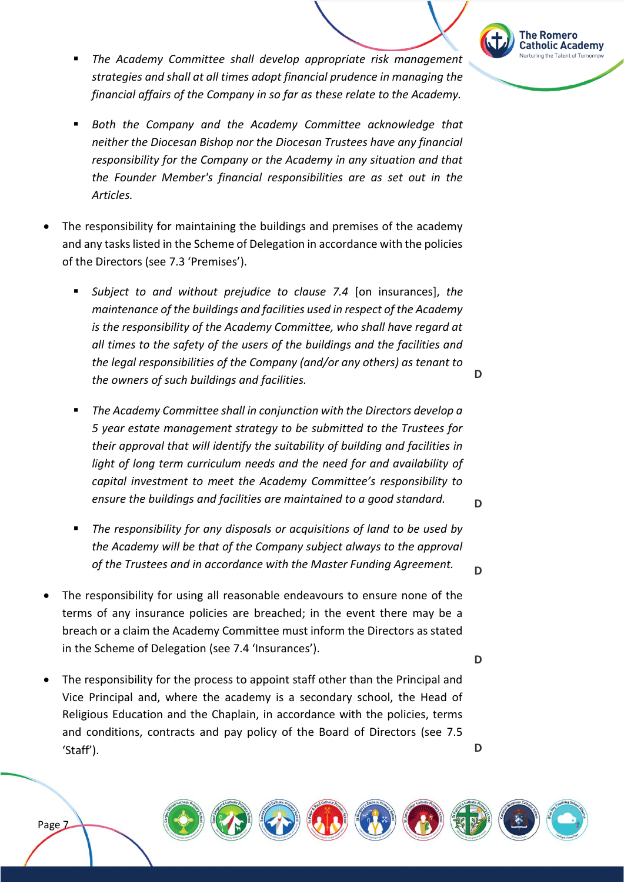

- The Academy Committee shall develop appropriate risk management *strategies and shall at all times adopt financial prudence in managing the financial affairs of the Company in so far as these relate to the Academy.*
- **Both the Company and the Academy Committee acknowledge that** *neither the Diocesan Bishop nor the Diocesan Trustees have any financial responsibility for the Company or the Academy in any situation and that the Founder Member's financial responsibilities are as set out in the Articles.*
- The responsibility for maintaining the buildings and premises of the academy and any tasks listed in the Scheme of Delegation in accordance with the policies of the Directors (see 7.3 'Premises').
	- Subject to and without prejudice to clause 7.4 [on insurances], the *maintenance of the buildings and facilities used in respect of the Academy is the responsibility of the Academy Committee, who shall have regard at all times to the safety of the users of the buildings and the facilities and the legal responsibilities of the Company (and/or any others) as tenant to the owners of such buildings and facilities.*
	- The Academy Committee shall in conjunction with the Directors develop a *5 year estate management strategy to be submitted to the Trustees for their approval that will identify the suitability of building and facilities in light of long term curriculum needs and the need for and availability of capital investment to meet the Academy Committee's responsibility to ensure the buildings and facilities are maintained to a good standard.*
	- The responsibility for any disposals or acquisitions of land to be used by *the Academy will be that of the Company subject always to the approval of the Trustees and in accordance with the Master Funding Agreement.*
- The responsibility for using all reasonable endeavours to ensure none of the terms of any insurance policies are breached; in the event there may be a breach or a claim the Academy Committee must inform the Directors as stated in the Scheme of Delegation (see 7.4 'Insurances').
- The responsibility for the process to appoint staff other than the Principal and Vice Principal and, where the academy is a secondary school, the Head of Religious Education and the Chaplain, in accordance with the policies, terms and conditions, contracts and pay policy of the Board of Directors (see 7.5 'Staff').





**D**

**D**

**D**

**D**

**D**



Page<sub>Z</sub>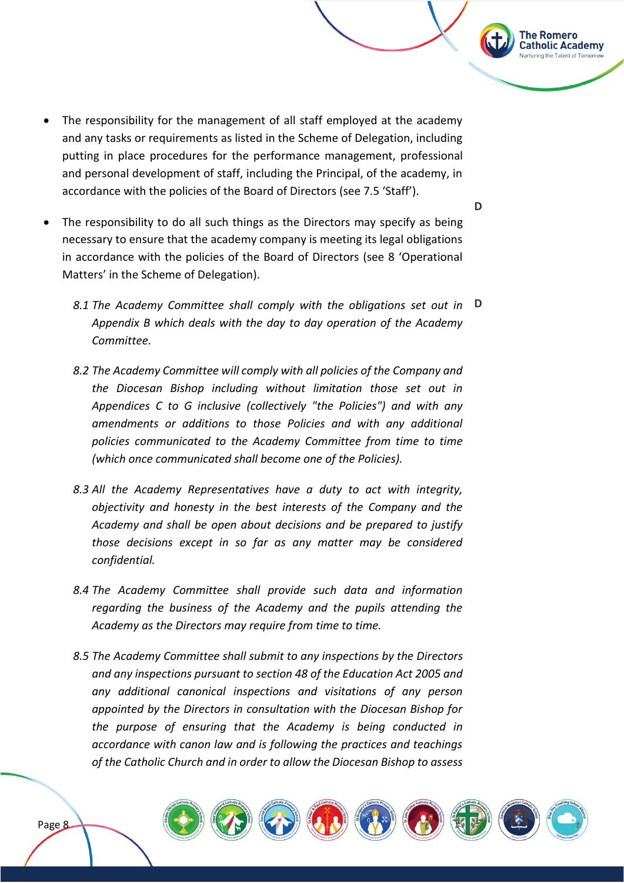- The responsibility for the management of all staff employed at the academy and any tasks or requirements as listed in the Scheme of Delegation, including putting in place procedures for the performance management, professional and personal development of staff, including the Principal, of the academy, in accordance with the policies of the Board of Directors (see 7.5 'Staff').
- The responsibility to do all such things as the Directors may specify as being necessary to ensure that the academy company is meeting its legal obligations in accordance with the policies of the Board of Directors (see 8 'Operational Matters' in the Scheme of Delegation).
	- *8.1 The Academy Committee shall comply with the obligations set out in*  **D***Appendix B which deals with the day to day operation of the Academy Committee.*
	- *8.2 The Academy Committee will comply with all policies of the Company and the Diocesan Bishop including without limitation those set out in Appendices C to G inclusive (collectively "the Policies") and with any amendments or additions to those Policies and with any additional policies communicated to the Academy Committee from time to time (which once communicated shall become one of the Policies).*
	- *8.3 All the Academy Representatives have a duty to act with integrity, objectivity and honesty in the best interests of the Company and the Academy and shall be open about decisions and be prepared to justify those decisions except in so far as any matter may be considered confidential.*
	- *8.4 The Academy Committee shall provide such data and information regarding the business of the Academy and the pupils attending the Academy as the Directors may require from time to time.*
	- *8.5 The Academy Committee shall submit to any inspections by the Directors and any inspections pursuant to section 48 of the Education Act 2005 and any additional canonical inspections and visitations of any person appointed by the Directors in consultation with the Diocesan Bishop for the purpose of ensuring that the Academy is being conducted in accordance with canon law and is following the practices and teachings of the Catholic Church and in order to allow the Diocesan Bishop to assess*



**D**

**The Romero Catholic Academy**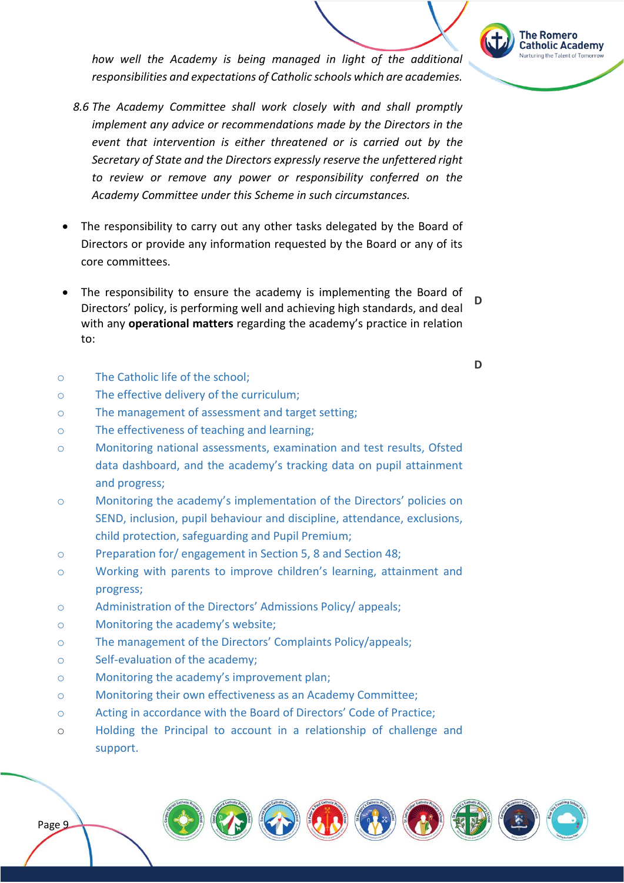

*how well the Academy is being managed in light of the additional responsibilities and expectations of Catholic schools which are academies.*

- *8.6 The Academy Committee shall work closely with and shall promptly implement any advice or recommendations made by the Directors in the event that intervention is either threatened or is carried out by the Secretary of State and the Directors expressly reserve the unfettered right to review or remove any power or responsibility conferred on the Academy Committee under this Scheme in such circumstances.*
- The responsibility to carry out any other tasks delegated by the Board of Directors or provide any information requested by the Board or any of its core committees.
- The responsibility to ensure the academy is implementing the Board of Directors' policy, is performing well and achieving high standards, and deal with any **operational matters** regarding the academy's practice in relation to: **D**
- o The Catholic life of the school;
- o The effective delivery of the curriculum;
- o The management of assessment and target setting;
- o The effectiveness of teaching and learning;
- o Monitoring national assessments, examination and test results, Ofsted data dashboard, and the academy's tracking data on pupil attainment and progress;
- o Monitoring the academy's implementation of the Directors' policies on SEND, inclusion, pupil behaviour and discipline, attendance, exclusions, child protection, safeguarding and Pupil Premium;
- o Preparation for/ engagement in Section 5, 8 and Section 48;
- o Working with parents to improve children's learning, attainment and progress;
- o Administration of the Directors' Admissions Policy/ appeals;
- o Monitoring the academy's website;
- o The management of the Directors' Complaints Policy/appeals;
- o Self-evaluation of the academy;
- o Monitoring the academy's improvement plan;
- o Monitoring their own effectiveness as an Academy Committee;
- o Acting in accordance with the Board of Directors' Code of Practice;
- o Holding the Principal to account in a relationship of challenge and support.











**D**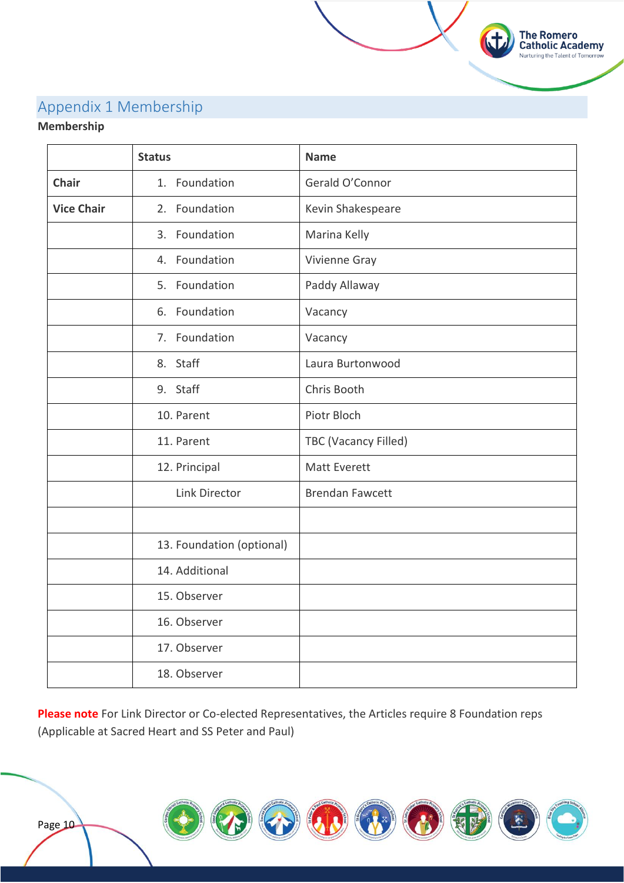# Appendix 1 Membership

## **Membership**

|                   | <b>Status</b>             | <b>Name</b>            |
|-------------------|---------------------------|------------------------|
| <b>Chair</b>      | 1. Foundation             | Gerald O'Connor        |
| <b>Vice Chair</b> | 2. Foundation             | Kevin Shakespeare      |
|                   | 3. Foundation             | Marina Kelly           |
|                   | 4. Foundation             | Vivienne Gray          |
|                   | 5. Foundation             | Paddy Allaway          |
|                   | 6. Foundation             | Vacancy                |
|                   | 7. Foundation             | Vacancy                |
|                   | 8. Staff                  | Laura Burtonwood       |
|                   | 9. Staff                  | Chris Booth            |
|                   | 10. Parent                | Piotr Bloch            |
|                   | 11. Parent                | TBC (Vacancy Filled)   |
|                   | 12. Principal             | <b>Matt Everett</b>    |
|                   | Link Director             | <b>Brendan Fawcett</b> |
|                   |                           |                        |
|                   | 13. Foundation (optional) |                        |
|                   | 14. Additional            |                        |
|                   | 15. Observer              |                        |
|                   | 16. Observer              |                        |
|                   | 17. Observer              |                        |
|                   | 18. Observer              |                        |

The Romero<br>Catholic Academy Nurturing the Talent of Tomorrow

**Please note** For Link Director or Co-elected Representatives, the Articles require 8 Foundation reps (Applicable at Sacred Heart and SS Peter and Paul)